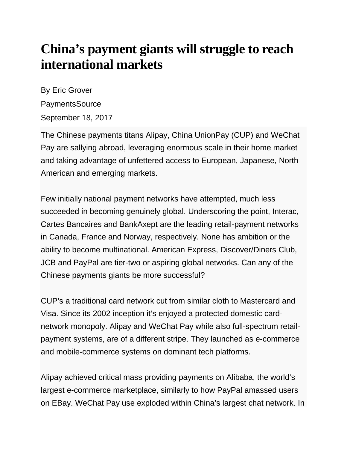## **China's payment giants will struggle to reach international markets**

By Eric Grover PaymentsSource September 18, 2017

The Chinese payments titans Alipay, China UnionPay (CUP) and WeChat Pay are sallying abroad, leveraging enormous scale in their home market and taking advantage of unfettered access to European, Japanese, North American and emerging markets.

Few initially national payment networks have attempted, much less succeeded in becoming genuinely global. Underscoring the point, Interac, Cartes Bancaires and BankAxept are the leading retail-payment networks in Canada, France and Norway, respectively. None has ambition or the ability to become multinational. American Express, Discover/Diners Club, JCB and PayPal are tier-two or aspiring global networks. Can any of the Chinese payments giants be more successful?

CUP's a traditional card network cut from similar cloth to Mastercard and Visa. Since its 2002 inception it's enjoyed a protected domestic cardnetwork monopoly. Alipay and WeChat Pay while also full-spectrum retailpayment systems, are of a different stripe. They launched as e-commerce and mobile-commerce systems on dominant tech platforms.

Alipay achieved critical mass providing payments on Alibaba, the world's largest e-commerce marketplace, similarly to how PayPal amassed users on EBay. WeChat Pay use exploded within China's largest chat network. In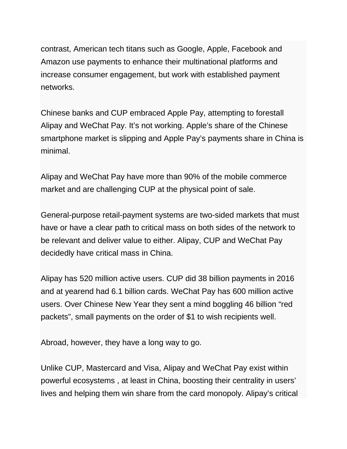contrast, American tech titans such as Google, Apple, Facebook and Amazon use payments to enhance their multinational platforms and increase consumer engagement, but work with established payment networks.

Chinese banks and CUP embraced Apple Pay, attempting to forestall Alipay and WeChat Pay. It's not working. Apple's share of the Chinese smartphone market is slipping and Apple Pay's payments share in China is minimal.

Alipay and WeChat Pay have more than 90% of the mobile commerce market and are challenging CUP at the physical point of sale.

General-purpose retail-payment systems are two-sided markets that must have or have a clear path to critical mass on both sides of the network to be relevant and deliver value to either. Alipay, CUP and WeChat Pay decidedly have critical mass in China.

Alipay has 520 million active users. CUP did 38 billion payments in 2016 and at yearend had 6.1 billion cards. WeChat Pay has 600 million active users. Over Chinese New Year they sent a mind boggling 46 billion "red packets", small payments on the order of \$1 to wish recipients well.

Abroad, however, they have a long way to go.

Unlike CUP, Mastercard and Visa, Alipay and WeChat Pay exist within powerful ecosystems , at least in China, boosting their centrality in users' lives and helping them win share from the card monopoly. Alipay's critical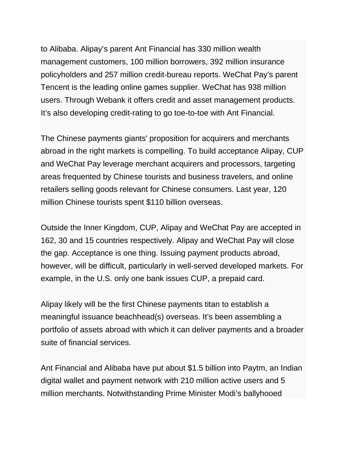to Alibaba. Alipay's parent Ant Financial has 330 million wealth management customers, 100 million borrowers, 392 million insurance policyholders and 257 million credit-bureau reports. WeChat Pay's parent Tencent is the leading online games supplier. WeChat has 938 million users. Through Webank it offers credit and asset management products. It's also developing credit-rating to go toe-to-toe with Ant Financial.

The Chinese payments giants' proposition for acquirers and merchants abroad in the right markets is compelling. To build acceptance Alipay, CUP and WeChat Pay leverage merchant acquirers and processors, targeting areas frequented by Chinese tourists and business travelers, and online retailers selling goods relevant for Chinese consumers. Last year, 120 million Chinese tourists spent \$110 billion overseas.

Outside the Inner Kingdom, CUP, Alipay and WeChat Pay are accepted in 162, 30 and 15 countries respectively. Alipay and WeChat Pay will close the gap. Acceptance is one thing. Issuing payment products abroad, however, will be difficult, particularly in well-served developed markets. For example, in the U.S. only one bank issues CUP, a prepaid card.

Alipay likely will be the first Chinese payments titan to establish a meaningful issuance beachhead(s) overseas. It's been assembling a portfolio of assets abroad with which it can deliver payments and a broader suite of financial services.

Ant Financial and Alibaba have put about \$1.5 billion into Paytm, an Indian digital wallet and payment network with 210 million active users and 5 million merchants. Notwithstanding Prime Minister Modi's ballyhooed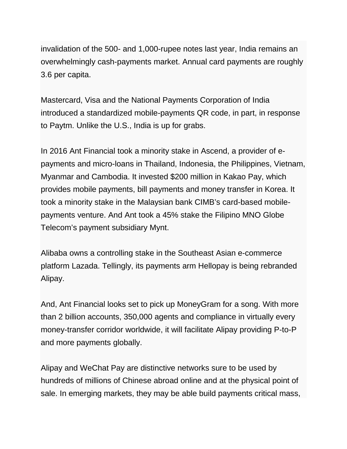invalidation of the 500- and 1,000-rupee notes last year, India remains an overwhelmingly cash-payments market. Annual card payments are roughly 3.6 per capita.

Mastercard, Visa and the National Payments Corporation of India introduced a standardized mobile-payments QR code, in part, in response to Paytm. Unlike the U.S., India is up for grabs.

In 2016 Ant Financial took a minority stake in Ascend, a provider of epayments and micro-loans in Thailand, Indonesia, the Philippines, Vietnam, Myanmar and Cambodia. It invested \$200 million in Kakao Pay, which provides mobile payments, bill payments and money transfer in Korea. It took a minority stake in the Malaysian bank CIMB's card-based mobilepayments venture. And Ant took a 45% stake the Filipino MNO Globe Telecom's payment subsidiary Mynt.

Alibaba owns a controlling stake in the Southeast Asian e-commerce platform Lazada. Tellingly, its payments arm Hellopay is being rebranded Alipay.

And, Ant Financial looks set to pick up MoneyGram for a song. With more than 2 billion accounts, 350,000 agents and compliance in virtually every money-transfer corridor worldwide, it will facilitate Alipay providing P-to-P and more payments globally.

Alipay and WeChat Pay are distinctive networks sure to be used by hundreds of millions of Chinese abroad online and at the physical point of sale. In emerging markets, they may be able build payments critical mass,